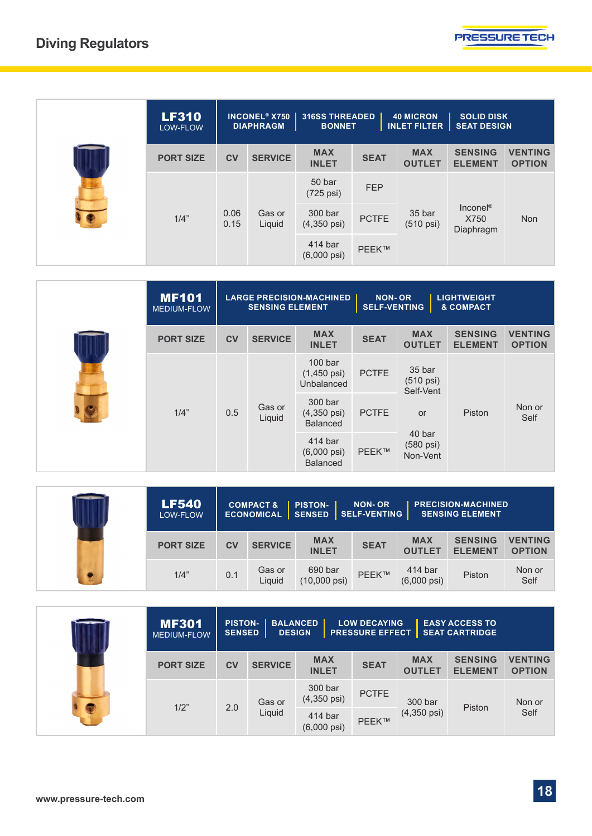

| <b>LF310</b><br>LOW-FLOW |              | <b>INCONEL<sup>®</sup> X750</b><br><b>316SS THREADED</b><br><b>40 MICRON</b><br><b>SOLID DISK</b><br><b>INLET FILTER</b><br><b>SEAT DESIGN</b><br><b>DIAPHRAGM</b><br><b>BONNET</b> |                                   |              |                               |                                          |                                 |
|--------------------------|--------------|-------------------------------------------------------------------------------------------------------------------------------------------------------------------------------------|-----------------------------------|--------------|-------------------------------|------------------------------------------|---------------------------------|
| <b>PORT SIZE</b>         | <b>CV</b>    | <b>SERVICE</b>                                                                                                                                                                      | <b>MAX</b><br><b>INLET</b>        | <b>SEAT</b>  | <b>MAX</b><br><b>OUTLET</b>   | <b>SENSING</b><br><b>ELEMENT</b>         | <b>VENTING</b><br><b>OPTION</b> |
| 1/4"                     | 0.06<br>0.15 | Gas or<br>Liquid                                                                                                                                                                    | 50 bar<br>(725 psi)               | <b>FEP</b>   | 35 bar<br>$(510 \text{ psi})$ | Incone <sup>®</sup><br>X750<br>Diaphragm | <b>Non</b>                      |
|                          |              |                                                                                                                                                                                     | 300 bar<br>$(4,350 \,\text{psi})$ | <b>PCTFE</b> |                               |                                          |                                 |
|                          |              |                                                                                                                                                                                     | 414 bar<br>$(6,000 \text{ psi})$  | PEEK™        |                               |                                          |                                 |

| <b>MF101</b><br>MEDIUM-FLOW | <b>LARGE PRECISION-MACHINED</b><br><b>LIGHTWEIGHT</b><br><b>NON-OR</b><br><b>SELF-VENTING</b><br>& COMPACT<br><b>SENSING ELEMENT</b> |                                                     |                                                            |                                 |                                                         |                                  |                                 |
|-----------------------------|--------------------------------------------------------------------------------------------------------------------------------------|-----------------------------------------------------|------------------------------------------------------------|---------------------------------|---------------------------------------------------------|----------------------------------|---------------------------------|
| <b>PORT SIZE</b>            | <b>CV</b>                                                                                                                            | <b>SERVICE</b>                                      | <b>MAX</b><br><b>INLET</b>                                 | <b>SEAT</b>                     | <b>MAX</b><br><b>OUTLET</b>                             | <b>SENSING</b><br><b>ELEMENT</b> | <b>VENTING</b><br><b>OPTION</b> |
| 1/4"<br>0.5                 |                                                                                                                                      | Gas or<br>Liquid                                    | 100 <sub>bar</sub><br>$(1,450 \,\text{psi})$<br>Unbalanced | <b>PCTFE</b>                    | 35 bar<br>$(510 \text{ psi})$<br>Self-Vent<br><b>or</b> | Piston                           | Non or<br>Self                  |
|                             |                                                                                                                                      |                                                     | 300 bar<br>$(4,350 \,\text{psi})$<br><b>Balanced</b>       | <b>PCTFE</b>                    |                                                         |                                  |                                 |
|                             |                                                                                                                                      | 414 bar<br>$(6,000 \text{ psi})$<br><b>Balanced</b> | <b>PEEK™</b>                                               | 40 bar<br>(580 psi)<br>Non-Vent |                                                         |                                  |                                 |

|  | <b>LF540</b><br>LOW-FLOW | <b>COMPACT &amp;</b><br><b>PISTON-</b><br><b>NON-OR</b><br><b>PRECISION-MACHINED</b><br>SENSED SELF-VENTING<br><b>SENSING ELEMENT</b><br><b>ECONOMICAL</b> |                  |                                   |             |                                  |                                  |                                 |  |
|--|--------------------------|------------------------------------------------------------------------------------------------------------------------------------------------------------|------------------|-----------------------------------|-------------|----------------------------------|----------------------------------|---------------------------------|--|
|  | <b>PORT SIZE</b>         | <b>CV</b>                                                                                                                                                  | <b>SERVICE</b>   | <b>MAX</b><br><b>INLET</b>        | <b>SEAT</b> | <b>MAX</b><br><b>OUTLET</b>      | <b>SENSING</b><br><b>ELEMENT</b> | <b>VENTING</b><br><b>OPTION</b> |  |
|  | 1/4"                     | 0.1                                                                                                                                                        | Gas or<br>Liquid | 690 bar<br>$(10,000 \text{ psi})$ | PEEK™       | 414 bar<br>$(6,000 \text{ psi})$ | Piston                           | Non or<br>Self                  |  |

| <b>MF301</b><br><b>MEDIUM-FLOW</b> | <b>PISTON-</b><br><b>SENSED</b> | <b>BALANCED</b><br><b>DESIGN</b> |                                   | <b>LOW DECAYING</b><br><b>PRESSURE EFFECT</b> |                             | <b>EASY ACCESS TO</b><br><b>SEAT CARTRIDGE</b> |                                 |
|------------------------------------|---------------------------------|----------------------------------|-----------------------------------|-----------------------------------------------|-----------------------------|------------------------------------------------|---------------------------------|
| <b>PORT SIZE</b>                   | c <sub>V</sub>                  | <b>SERVICE</b>                   | <b>MAX</b><br><b>INLET</b>        | <b>SEAT</b>                                   | <b>MAX</b><br><b>OUTLET</b> | <b>SENSING</b><br><b>ELEMENT</b>               | <b>VENTING</b><br><b>OPTION</b> |
| 1/2"<br>2.0                        |                                 | Gas or                           | 300 bar<br>$(4,350 \,\text{psi})$ | <b>PCTFE</b>                                  | 300 bar                     |                                                | Non or                          |
|                                    | Liquid                          | 414 bar<br>$(6,000 \text{ psi})$ | PEEK™                             | $(4,350 \,\text{psi})$                        | Piston                      | Self                                           |                                 |